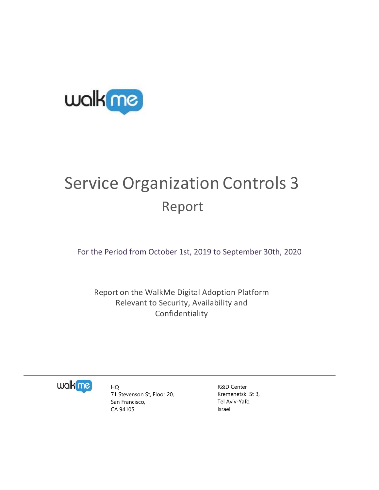

# Service Organization Controls 3 Report

For the Period from October 1st, 2019 to September 30th, 2020

Report on the WalkMe Digital Adoption Platform Relevant to Security, Availability and Confidentiality



HQ 71 Stevenson St, Floor 20, San Francisco, CA 94105

R&D Center Kremenetski St 3, Tel Aviv-Yafo, Israel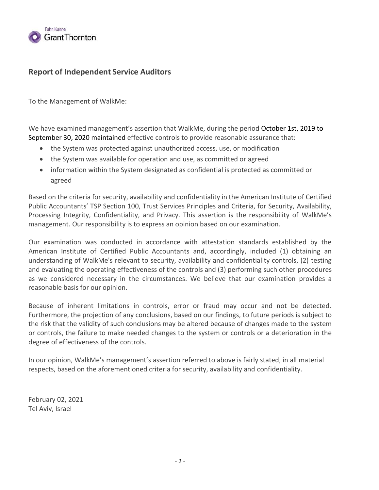

# **Report of Independent Service Auditors**

To the Management of WalkMe:

We have examined management's assertion that WalkMe, during the period October 1st, 2019 to September 30, 2020 maintained effective controls to provide reasonable assurance that:

- the System was protected against unauthorized access, use, or modification
- the System was available for operation and use, as committed or agreed
- information within the System designated as confidential is protected as committed or agreed

Based on the criteria for security, availability and confidentiality in the American Institute of Certified Public Accountants' TSP Section 100, Trust Services Principles and Criteria, for Security, Availability, Processing Integrity, Confidentiality, and Privacy. This assertion is the responsibility of WalkMe's management. Our responsibility is to express an opinion based on our examination.

Our examination was conducted in accordance with attestation standards established by the American Institute of Certified Public Accountants and, accordingly, included (1) obtaining an understanding of WalkMe's relevant to security, availability and confidentiality controls, (2) testing and evaluating the operating effectiveness of the controls and (3) performing such other procedures as we considered necessary in the circumstances. We believe that our examination provides a reasonable basis for our opinion.

Because of inherent limitations in controls, error or fraud may occur and not be detected. Furthermore, the projection of any conclusions, based on our findings, to future periods is subject to the risk that the validity of such conclusions may be altered because of changes made to the system or controls, the failure to make needed changes to the system or controls or a deterioration in the degree of effectiveness of the controls.

In our opinion, WalkMe's management's assertion referred to above is fairly stated, in all material respects, based on the aforementioned criteria for security, availability and confidentiality.

February 02, 2021 Tel Aviv, Israel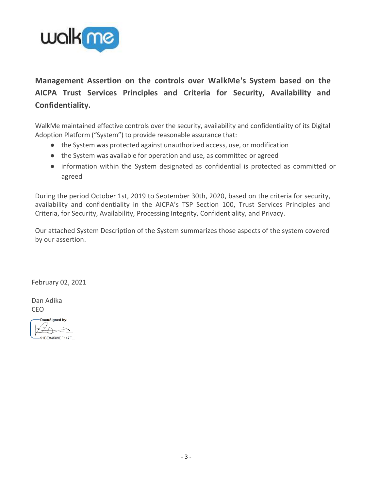

**Management Assertion on the controls over WalkMe's System based on the AICPA Trust Services Principles and Criteria for Security, Availability and Confidentiality.**

WalkMe maintained effective controls over the security, availability and confidentiality of its Digital Adoption Platform ("System") to provide reasonable assurance that:

- the System was protected against unauthorized access, use, or modification
- the System was available for operation and use, as committed or agreed
- information within the System designated as confidential is protected as committed or agreed

During the period October 1st, 2019 to September 30th, 2020, based on the criteria for security, availability and confidentiality in the AICPA's TSP Section 100, Trust Services Principles and Criteria, for Security, Availability, Processing Integrity, Confidentiality, and Privacy.

Our attached System Description of the System summarizes those aspects of the system covered by our assertion.

February 02, 2021

Dan Adika CEO

DocuSigned by: 91BE84589EF147F...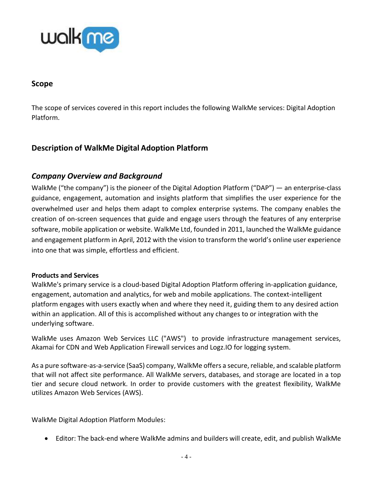

## **Scope**

The scope of services covered in this report includes the following WalkMe services: Digital Adoption Platform.

# **Description of WalkMe Digital Adoption Platform**

# *Company Overview and Background*

WalkMe ("the company") is the pioneer of the Digital Adoption Platform ("DAP") — an enterprise-class guidance, engagement, automation and insights platform that simplifies the user experience for the overwhelmed user and helps them adapt to complex enterprise systems. The company enables the creation of on-screen sequences that guide and engage users through the features of any enterprise software, mobile application or website. WalkMe Ltd, founded in 2011, launched the WalkMe guidance and engagement platform in April, 2012 with the vision to transform the world's online user experience into one that was simple, effortless and efficient.

#### **Products and Services**

WalkMe's primary service is a cloud-based Digital Adoption Platform offering in-application guidance, engagement, automation and analytics, for web and mobile applications. The context-intelligent platform engages with users exactly when and where they need it, guiding them to any desired action within an application. All of this is accomplished without any changes to or integration with the underlying software.

WalkMe uses Amazon Web Services LLC ("AWS") to provide infrastructure management services, Akamai for CDN and Web Application Firewall services and Logz.IO for logging system.

As a pure software-as-a-service (SaaS) company, WalkMe offers a secure, reliable, and scalable platform that will not affect site performance. All WalkMe servers, databases, and storage are located in a top tier and secure cloud network. In order to provide customers with the greatest flexibility, WalkMe utilizes Amazon Web Services (AWS).

WalkMe Digital Adoption Platform Modules:

Editor: The back-end where WalkMe admins and builders will create, edit, and publish WalkMe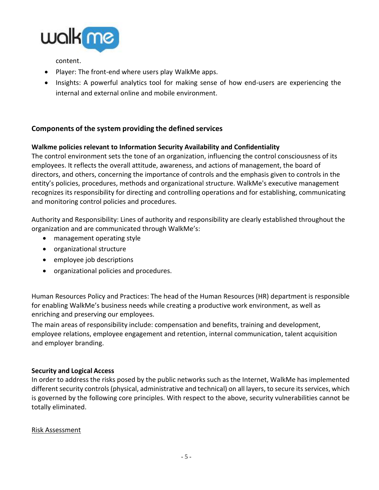

content.

- Player: The front-end where users play WalkMe apps.
- Insights: A powerful analytics tool for making sense of how end-users are experiencing the internal and external online and mobile environment.

## **Components of the system providing the defined services**

#### **Walkme policies relevant to Information Security Availability and Confidentiality**

The control environment sets the tone of an organization, influencing the control consciousness of its employees. It reflects the overall attitude, awareness, and actions of management, the board of directors, and others, concerning the importance of controls and the emphasis given to controls in the entity's policies, procedures, methods and organizational structure. WalkMe's executive management recognizes its responsibility for directing and controlling operations and for establishing, communicating and monitoring control policies and procedures.

Authority and Responsibility: Lines of authority and responsibility are clearly established throughout the organization and are communicated through WalkMe's:

- management operating style
- organizational structure
- employee job descriptions
- organizational policies and procedures.

Human Resources Policy and Practices: The head of the Human Resources (HR) department is responsible for enabling WalkMe's business needs while creating a productive work environment, as well as enriching and preserving our employees.

The main areas of responsibility include: compensation and benefits, training and development, employee relations, employee engagement and retention, internal communication, talent acquisition and employer branding.

#### **Security and Logical Access**

In order to address the risks posed by the public networks such as the Internet, WalkMe has implemented different security controls (physical, administrative and technical) on all layers, to secure its services, which is governed by the following core principles. With respect to the above, security vulnerabilities cannot be totally eliminated.

#### Risk Assessment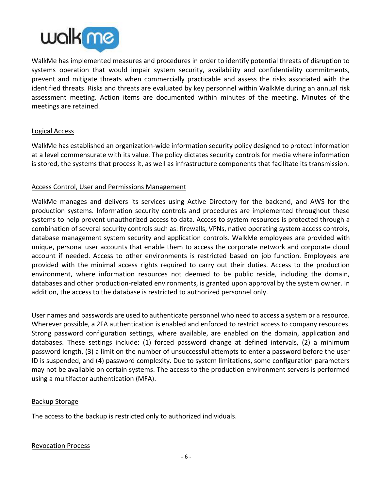

WalkMe has implemented measures and procedures in order to identify potential threats of disruption to systems operation that would impair system security, availability and confidentiality commitments, prevent and mitigate threats when commercially practicable and assess the risks associated with the identified threats. Risks and threats are evaluated by key personnel within WalkMe during an annual risk assessment meeting. Action items are documented within minutes of the meeting. Minutes of the meetings are retained.

#### Logical Access

WalkMe has established an organization-wide information security policy designed to protect information at a level commensurate with its value. The policy dictates security controls for media where information is stored, the systems that process it, as well as infrastructure components that facilitate its transmission.

#### Access Control, User and Permissions Management

WalkMe manages and delivers its services using Active Directory for the backend, and AWS for the production systems. Information security controls and procedures are implemented throughout these systems to help prevent unauthorized access to data. Access to system resources is protected through a combination of several security controls such as: firewalls, VPNs, native operating system access controls, database management system security and application controls. WalkMe employees are provided with unique, personal user accounts that enable them to access the corporate network and corporate cloud account if needed. Access to other environments is restricted based on job function. Employees are provided with the minimal access rights required to carry out their duties. Access to the production environment, where information resources not deemed to be public reside, including the domain, databases and other production-related environments, is granted upon approval by the system owner. In addition, the access to the database is restricted to authorized personnel only.

User names and passwords are used to authenticate personnel who need to access a system or a resource. Wherever possible, a 2FA authentication is enabled and enforced to restrict access to company resources. Strong password configuration settings, where available, are enabled on the domain, application and databases. These settings include: (1) forced password change at defined intervals, (2) a minimum password length, (3) a limit on the number of unsuccessful attempts to enter a password before the user ID is suspended, and (4) password complexity. Due to system limitations, some configuration parameters may not be available on certain systems. The access to the production environment servers is performed using a multifactor authentication (MFA).

#### Backup Storage

The access to the backup is restricted only to authorized individuals.

#### Revocation Process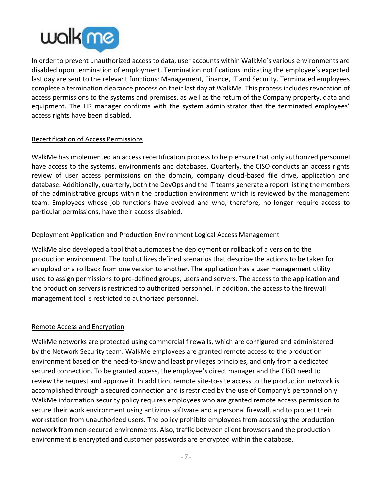

In order to prevent unauthorized access to data, user accounts within WalkMe's various environments are disabled upon termination of employment. Termination notifications indicating the employee's expected last day are sent to the relevant functions: Management, Finance, IT and Security. Terminated employees complete a termination clearance process on their last day at WalkMe. This process includes revocation of access permissions to the systems and premises, as well as the return of the Company property, data and equipment. The HR manager confirms with the system administrator that the terminated employees' access rights have been disabled.

#### Recertification of Access Permissions

WalkMe has implemented an access recertification process to help ensure that only authorized personnel have access to the systems, environments and databases. Quarterly, the CISO conducts an access rights review of user access permissions on the domain, company cloud-based file drive, application and database. Additionally, quarterly, both the DevOps and the IT teams generate a report listing the members of the administrative groups within the production environment which is reviewed by the management team. Employees whose job functions have evolved and who, therefore, no longer require access to particular permissions, have their access disabled.

#### Deployment Application and Production Environment Logical Access Management

WalkMe also developed a tool that automates the deployment or rollback of a version to the production environment. The tool utilizes defined scenarios that describe the actions to be taken for an upload or a rollback from one version to another. The application has a user management utility used to assign permissions to pre-defined groups, users and servers. The access to the application and the production servers is restricted to authorized personnel. In addition, the access to the firewall management tool is restricted to authorized personnel.

#### Remote Access and Encryption

WalkMe networks are protected using commercial firewalls, which are configured and administered by the Network Security team. WalkMe employees are granted remote access to the production environment based on the need-to-know and least privileges principles, and only from a dedicated secured connection. To be granted access, the employee's direct manager and the CISO need to review the request and approve it. In addition, remote site-to-site access to the production network is accomplished through a secured connection and is restricted by the use of Company's personnel only. WalkMe information security policy requires employees who are granted remote access permission to secure their work environment using antivirus software and a personal firewall, and to protect their workstation from unauthorized users. The policy prohibits employees from accessing the production network from non-secured environments. Also, traffic between client browsers and the production environment is encrypted and customer passwords are encrypted within the database.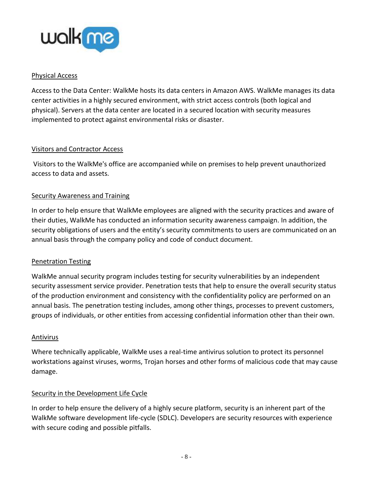

#### Physical Access

Access to the Data Center: WalkMe hosts its data centers in Amazon AWS. WalkMe manages its data center activities in a highly secured environment, with strict access controls (both logical and physical). Servers at the data center are located in a secured location with security measures implemented to protect against environmental risks or disaster.

#### Visitors and Contractor Access

Visitors to the WalkMe's office are accompanied while on premises to help prevent unauthorized access to data and assets.

#### **Security Awareness and Training**

In order to help ensure that WalkMe employees are aligned with the security practices and aware of their duties, WalkMe has conducted an information security awareness campaign. In addition, the security obligations of users and the entity's security commitments to users are communicated on an annual basis through the company policy and code of conduct document.

#### Penetration Testing

WalkMe annual security program includes testing for security vulnerabilities by an independent security assessment service provider. Penetration tests that help to ensure the overall security status of the production environment and consistency with the confidentiality policy are performed on an annual basis. The penetration testing includes, among other things, processes to prevent customers, groups of individuals, or other entities from accessing confidential information other than their own.

#### Antivirus

Where technically applicable, WalkMe uses a real-time antivirus solution to protect its personnel workstations against viruses, worms, Trojan horses and other forms of malicious code that may cause damage.

#### Security in the Development Life Cycle

In order to help ensure the delivery of a highly secure platform, security is an inherent part of the WalkMe software development life-cycle (SDLC). Developers are security resources with experience with secure coding and possible pitfalls.